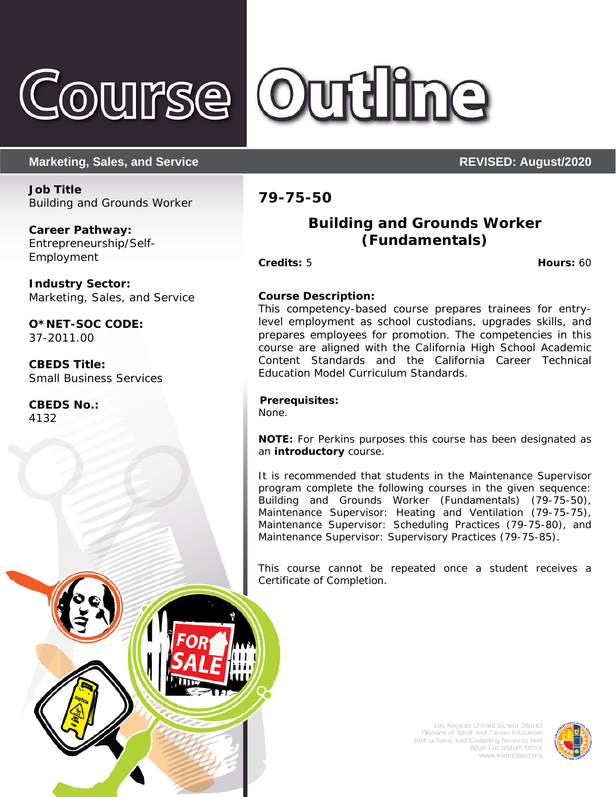

# **Marketing, Sales, and Service <b>REVISED: August/2020**

**Job Title** Building and Grounds Worker

**Career Pathway:** Entrepreneurship/Self-Employment

**Industry Sector:** Marketing, Sales, and Service

**O\*NET-SOC CODE:** 37-2011.00

**CBEDS Title:** Small Business Services

**CBEDS No.:** 4132

# Course Outline

# **79-75-50**

# **Building and Grounds Worker (Fundamentals)**

**Credits:** 5 **Hours:** 60

# **Course Description:**

This competency-based course prepares trainees for entrylevel employment as school custodians, upgrades skills, and prepares employees for promotion. The competencies in this course are aligned with the California High School Academic Content Standards and the California Career Technical Education Model Curriculum Standards.

# **Prerequisites:**

None.

**NOTE:** For Perkins purposes this course has been designated as an **introductory** course.

It is recommended that students in the Maintenance Supervisor program complete the following courses in the given sequence: Building and Grounds Worker (Fundamentals) (79-75-50), Maintenance Supervisor: Heating and Ventilation (79-75-75), Maintenance Supervisor: Scheduling Practices (79-75-80), and Maintenance Supervisor: Supervisory Practices (79-75-85).

This course cannot be repeated once a student receives a Certificate of Completion.

> Los Angeles Unified School District Division of Adult and Career Education Instructional and Couseling Services Unit<br>Adult Curriculum Office www.wearedace.org

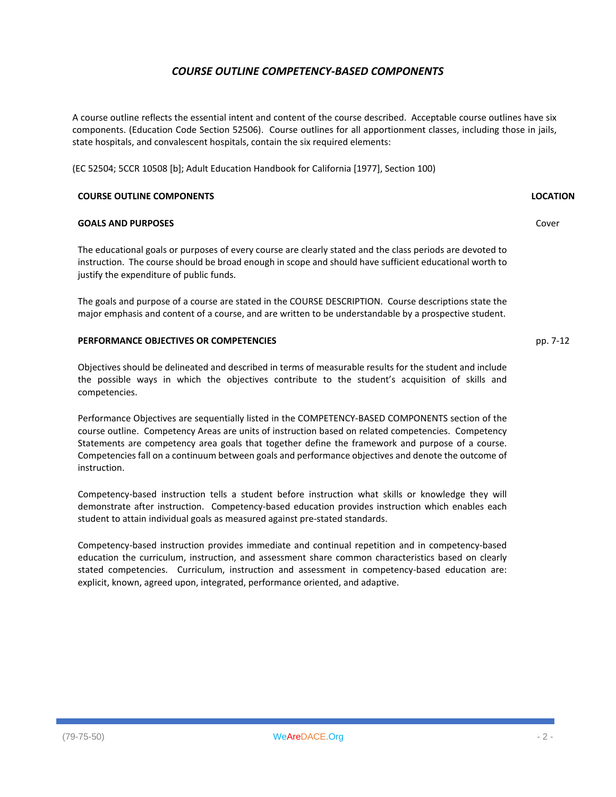# *COURSE OUTLINE COMPETENCY-BASED COMPONENTS*

A course outline reflects the essential intent and content of the course described. Acceptable course outlines have six components. (Education Code Section 52506). Course outlines for all apportionment classes, including those in jails, state hospitals, and convalescent hospitals, contain the six required elements:

(EC 52504; 5CCR 10508 [b]; Adult Education Handbook for California [1977], Section 100)

# **COURSE OUTLINE COMPONENTS LOCATION**

pp. 7-12

Cover

# **GOALS AND PURPOSES**

The educational goals or purposes of every course are clearly stated and the class periods are devoted to instruction. The course should be broad enough in scope and should have sufficient educational worth to justify the expenditure of public funds.

The goals and purpose of a course are stated in the COURSE DESCRIPTION. Course descriptions state the major emphasis and content of a course, and are written to be understandable by a prospective student.

# **PERFORMANCE OBJECTIVES OR COMPETENCIES**

Objectives should be delineated and described in terms of measurable results for the student and include the possible ways in which the objectives contribute to the student's acquisition of skills and competencies.

Performance Objectives are sequentially listed in the COMPETENCY-BASED COMPONENTS section of the course outline. Competency Areas are units of instruction based on related competencies. Competency Statements are competency area goals that together define the framework and purpose of a course. Competencies fall on a continuum between goals and performance objectives and denote the outcome of instruction.

Competency-based instruction tells a student before instruction what skills or knowledge they will demonstrate after instruction. Competency-based education provides instruction which enables each student to attain individual goals as measured against pre-stated standards.

Competency-based instruction provides immediate and continual repetition and in competency-based education the curriculum, instruction, and assessment share common characteristics based on clearly stated competencies. Curriculum, instruction and assessment in competency-based education are: explicit, known, agreed upon, integrated, performance oriented, and adaptive.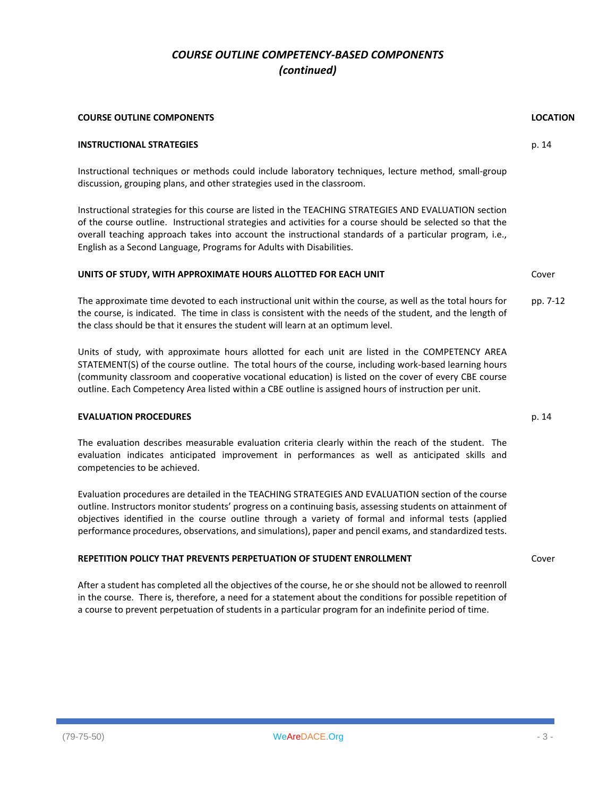# *COURSE OUTLINE COMPETENCY-BASED COMPONENTS (continued)*

| <b>COURSE OUTLINE COMPONENTS</b>                                                                                                                                                                                                                                                                                                                                                                                                   | <b>LOCATION</b> |
|------------------------------------------------------------------------------------------------------------------------------------------------------------------------------------------------------------------------------------------------------------------------------------------------------------------------------------------------------------------------------------------------------------------------------------|-----------------|
| <b>INSTRUCTIONAL STRATEGIES</b>                                                                                                                                                                                                                                                                                                                                                                                                    | p. 14           |
| Instructional techniques or methods could include laboratory techniques, lecture method, small-group<br>discussion, grouping plans, and other strategies used in the classroom.                                                                                                                                                                                                                                                    |                 |
| Instructional strategies for this course are listed in the TEACHING STRATEGIES AND EVALUATION section<br>of the course outline. Instructional strategies and activities for a course should be selected so that the<br>overall teaching approach takes into account the instructional standards of a particular program, i.e.,<br>English as a Second Language, Programs for Adults with Disabilities.                             |                 |
| UNITS OF STUDY, WITH APPROXIMATE HOURS ALLOTTED FOR EACH UNIT                                                                                                                                                                                                                                                                                                                                                                      | Cover           |
| The approximate time devoted to each instructional unit within the course, as well as the total hours for<br>the course, is indicated. The time in class is consistent with the needs of the student, and the length of<br>the class should be that it ensures the student will learn at an optimum level.                                                                                                                         | pp. 7-12        |
| Units of study, with approximate hours allotted for each unit are listed in the COMPETENCY AREA<br>STATEMENT(S) of the course outline. The total hours of the course, including work-based learning hours<br>(community classroom and cooperative vocational education) is listed on the cover of every CBE course<br>outline. Each Competency Area listed within a CBE outline is assigned hours of instruction per unit.         |                 |
| <b>EVALUATION PROCEDURES</b>                                                                                                                                                                                                                                                                                                                                                                                                       | p. 14           |
| The evaluation describes measurable evaluation criteria clearly within the reach of the student. The<br>evaluation indicates anticipated improvement in performances as well as anticipated skills and<br>competencies to be achieved.                                                                                                                                                                                             |                 |
| Evaluation procedures are detailed in the TEACHING STRATEGIES AND EVALUATION section of the course<br>outline. Instructors monitor students' progress on a continuing basis, assessing students on attainment of<br>objectives identified in the course outline through a variety of formal and informal tests (applied<br>performance procedures, observations, and simulations), paper and pencil exams, and standardized tests. |                 |
| REPETITION POLICY THAT PREVENTS PERPETUATION OF STUDENT ENROLLMENT                                                                                                                                                                                                                                                                                                                                                                 | Cover           |
|                                                                                                                                                                                                                                                                                                                                                                                                                                    |                 |

After a student has completed all the objectives of the course, he or she should not be allowed to reenroll in the course. There is, therefore, a need for a statement about the conditions for possible repetition of a course to prevent perpetuation of students in a particular program for an indefinite period of time.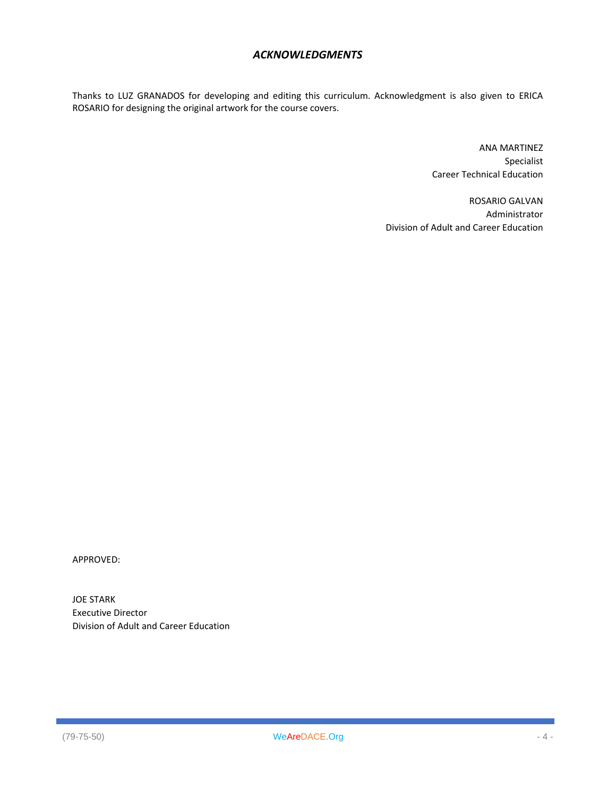# *ACKNOWLEDGMENTS*

Thanks to LUZ GRANADOS for developing and editing this curriculum. Acknowledgment is also given to ERICA ROSARIO for designing the original artwork for the course covers.

> ANA MARTINEZ Specialist Career Technical Education

ROSARIO GALVAN Administrator Division of Adult and Career Education

APPROVED:

JOE STARK Executive Director Division of Adult and Career Education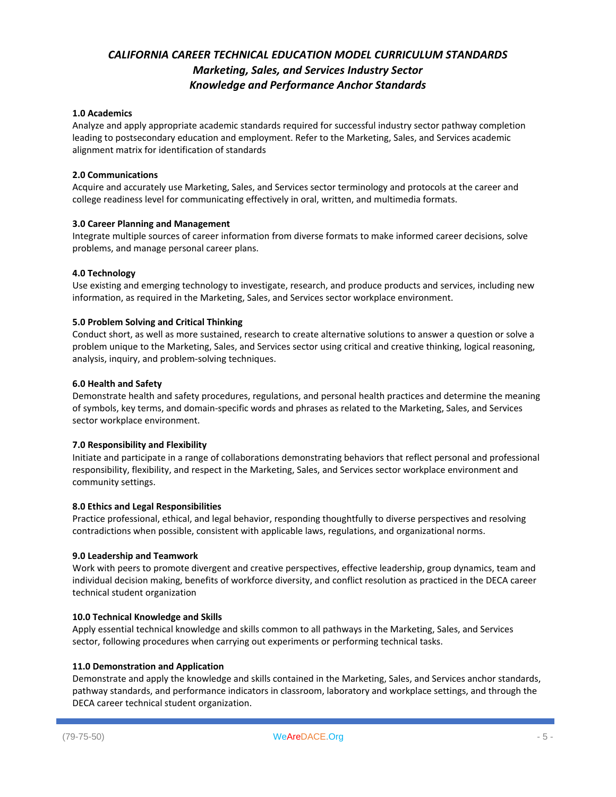# *CALIFORNIA CAREER TECHNICAL EDUCATION MODEL CURRICULUM STANDARDS Marketing, Sales, and Services Industry Sector Knowledge and Performance Anchor Standards*

# **1.0 Academics**

Analyze and apply appropriate academic standards required for successful industry sector pathway completion leading to postsecondary education and employment. Refer to the Marketing, Sales, and Services academic alignment matrix for identification of standards

# **2.0 Communications**

Acquire and accurately use Marketing, Sales, and Services sector terminology and protocols at the career and college readiness level for communicating effectively in oral, written, and multimedia formats.

# **3.0 Career Planning and Management**

Integrate multiple sources of career information from diverse formats to make informed career decisions, solve problems, and manage personal career plans.

# **4.0 Technology**

Use existing and emerging technology to investigate, research, and produce products and services, including new information, as required in the Marketing, Sales, and Services sector workplace environment.

# **5.0 Problem Solving and Critical Thinking**

Conduct short, as well as more sustained, research to create alternative solutions to answer a question or solve a problem unique to the Marketing, Sales, and Services sector using critical and creative thinking, logical reasoning, analysis, inquiry, and problem-solving techniques.

# **6.0 Health and Safety**

Demonstrate health and safety procedures, regulations, and personal health practices and determine the meaning of symbols, key terms, and domain-specific words and phrases as related to the Marketing, Sales, and Services sector workplace environment.

# **7.0 Responsibility and Flexibility**

Initiate and participate in a range of collaborations demonstrating behaviors that reflect personal and professional responsibility, flexibility, and respect in the Marketing, Sales, and Services sector workplace environment and community settings.

# **8.0 Ethics and Legal Responsibilities**

Practice professional, ethical, and legal behavior, responding thoughtfully to diverse perspectives and resolving contradictions when possible, consistent with applicable laws, regulations, and organizational norms.

# **9.0 Leadership and Teamwork**

Work with peers to promote divergent and creative perspectives, effective leadership, group dynamics, team and individual decision making, benefits of workforce diversity, and conflict resolution as practiced in the DECA career technical student organization

# **10.0 Technical Knowledge and Skills**

Apply essential technical knowledge and skills common to all pathways in the Marketing, Sales, and Services sector, following procedures when carrying out experiments or performing technical tasks.

# **11.0 Demonstration and Application**

Demonstrate and apply the knowledge and skills contained in the Marketing, Sales, and Services anchor standards, pathway standards, and performance indicators in classroom, laboratory and workplace settings, and through the DECA career technical student organization.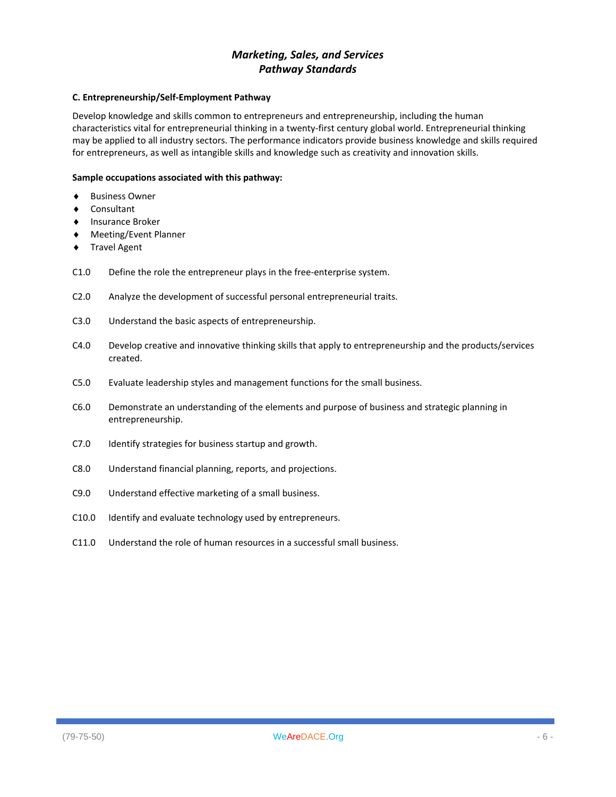# *Marketing, Sales, and Services Pathway Standards*

# **C. Entrepreneurship/Self-Employment Pathway**

Develop knowledge and skills common to entrepreneurs and entrepreneurship, including the human characteristics vital for entrepreneurial thinking in a twenty-first century global world. Entrepreneurial thinking may be applied to all industry sectors. The performance indicators provide business knowledge and skills required for entrepreneurs, as well as intangible skills and knowledge such as creativity and innovation skills.

# **Sample occupations associated with this pathway:**

- ♦ Business Owner
- ♦ Consultant
- ♦ Insurance Broker
- ♦ Meeting/Event Planner
- ♦ Travel Agent
- C1.0 Define the role the entrepreneur plays in the free-enterprise system.
- C2.0 Analyze the development of successful personal entrepreneurial traits.
- C3.0 Understand the basic aspects of entrepreneurship.
- C4.0 Develop creative and innovative thinking skills that apply to entrepreneurship and the products/services created.
- C5.0 Evaluate leadership styles and management functions for the small business.
- C6.0 Demonstrate an understanding of the elements and purpose of business and strategic planning in entrepreneurship.
- C7.0 Identify strategies for business startup and growth.
- C8.0 Understand financial planning, reports, and projections.
- C9.0 Understand effective marketing of a small business.
- C10.0 Identify and evaluate technology used by entrepreneurs.
- C11.0 Understand the role of human resources in a successful small business.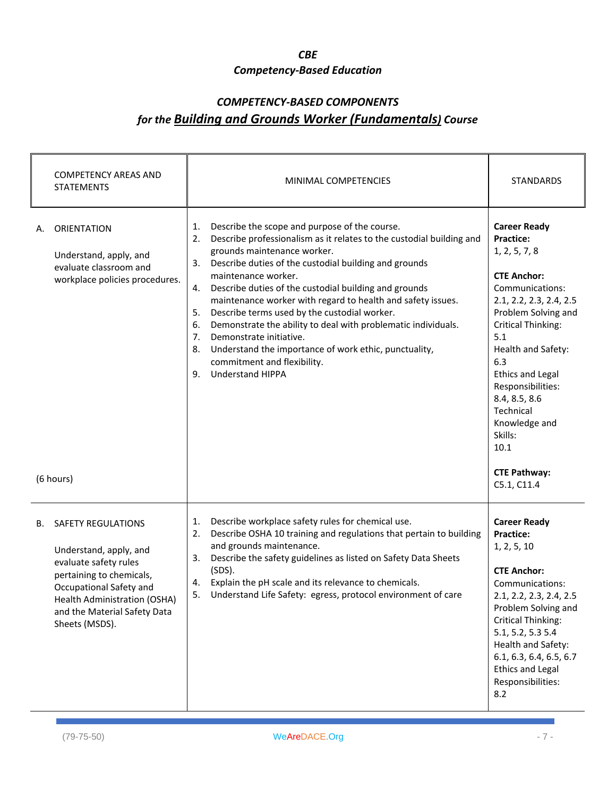# *CBE Competency-Based Education*

# *COMPETENCY-BASED COMPONENTS for the Building and Grounds Worker (Fundamentals) Course*

| <b>COMPETENCY AREAS AND</b><br><b>STATEMENTS</b>                                                                                                                                                                            | MINIMAL COMPETENCIES                                                                                                                                                                                                                                                                                                                                                                                                                                                                                                                                                                                                                                                              | <b>STANDARDS</b>                                                                                                                                                                                                                                                                                                                                                             |
|-----------------------------------------------------------------------------------------------------------------------------------------------------------------------------------------------------------------------------|-----------------------------------------------------------------------------------------------------------------------------------------------------------------------------------------------------------------------------------------------------------------------------------------------------------------------------------------------------------------------------------------------------------------------------------------------------------------------------------------------------------------------------------------------------------------------------------------------------------------------------------------------------------------------------------|------------------------------------------------------------------------------------------------------------------------------------------------------------------------------------------------------------------------------------------------------------------------------------------------------------------------------------------------------------------------------|
| ORIENTATION<br>А.<br>Understand, apply, and<br>evaluate classroom and<br>workplace policies procedures.<br>(6 hours)                                                                                                        | Describe the scope and purpose of the course.<br>1.<br>Describe professionalism as it relates to the custodial building and<br>2.<br>grounds maintenance worker.<br>Describe duties of the custodial building and grounds<br>3.<br>maintenance worker.<br>Describe duties of the custodial building and grounds<br>4.<br>maintenance worker with regard to health and safety issues.<br>Describe terms used by the custodial worker.<br>5.<br>Demonstrate the ability to deal with problematic individuals.<br>6.<br>Demonstrate initiative.<br>7.<br>Understand the importance of work ethic, punctuality,<br>8.<br>commitment and flexibility.<br><b>Understand HIPPA</b><br>9. | <b>Career Ready</b><br><b>Practice:</b><br>1, 2, 5, 7, 8<br><b>CTE Anchor:</b><br>Communications:<br>2.1, 2.2, 2.3, 2.4, 2.5<br>Problem Solving and<br><b>Critical Thinking:</b><br>5.1<br>Health and Safety:<br>6.3<br><b>Ethics and Legal</b><br>Responsibilities:<br>8.4, 8.5, 8.6<br>Technical<br>Knowledge and<br>Skills:<br>10.1<br><b>CTE Pathway:</b><br>C5.1, C11.4 |
| <b>SAFETY REGULATIONS</b><br>В.<br>Understand, apply, and<br>evaluate safety rules<br>pertaining to chemicals,<br>Occupational Safety and<br>Health Administration (OSHA)<br>and the Material Safety Data<br>Sheets (MSDS). | Describe workplace safety rules for chemical use.<br>1.<br>Describe OSHA 10 training and regulations that pertain to building<br>2.<br>and grounds maintenance.<br>Describe the safety guidelines as listed on Safety Data Sheets<br>3.<br>$(SDS)$ .<br>Explain the pH scale and its relevance to chemicals.<br>4.<br>5.<br>Understand Life Safety: egress, protocol environment of care                                                                                                                                                                                                                                                                                          | <b>Career Ready</b><br><b>Practice:</b><br>1, 2, 5, 10<br><b>CTE Anchor:</b><br>Communications:<br>2.1, 2.2, 2.3, 2.4, 2.5<br>Problem Solving and<br><b>Critical Thinking:</b><br>5.1, 5.2, 5.3 5.4<br>Health and Safety:<br>6.1, 6.3, 6.4, 6.5, 6.7<br><b>Ethics and Legal</b><br>Responsibilities:<br>8.2                                                                  |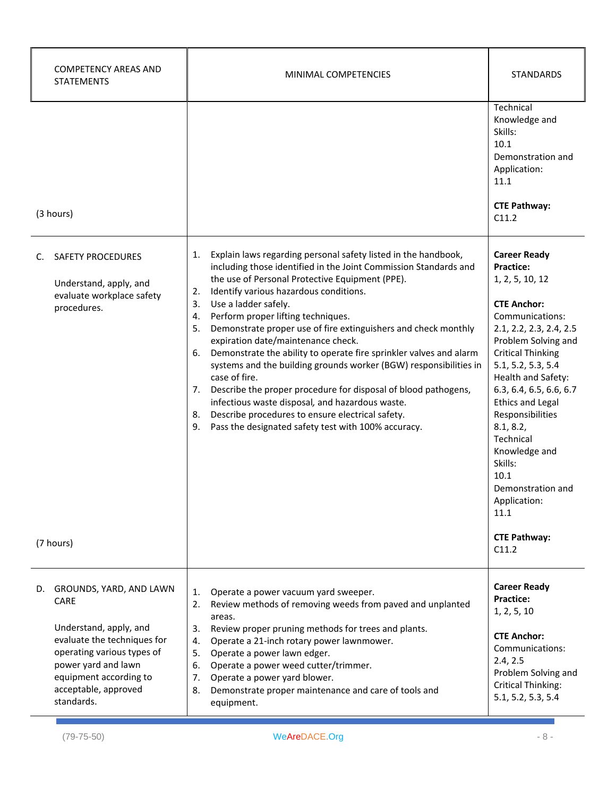| <b>COMPETENCY AREAS AND</b><br><b>STATEMENTS</b>                                                                                                                                                                 | MINIMAL COMPETENCIES                                                                                                                                                                                                                                                                                                                                                                                                                                                                                                                                                                                                                                                                                                                                                                                                                                    | <b>STANDARDS</b>                                                                                                                                                                                                                                                                                                                                                                                                   |
|------------------------------------------------------------------------------------------------------------------------------------------------------------------------------------------------------------------|---------------------------------------------------------------------------------------------------------------------------------------------------------------------------------------------------------------------------------------------------------------------------------------------------------------------------------------------------------------------------------------------------------------------------------------------------------------------------------------------------------------------------------------------------------------------------------------------------------------------------------------------------------------------------------------------------------------------------------------------------------------------------------------------------------------------------------------------------------|--------------------------------------------------------------------------------------------------------------------------------------------------------------------------------------------------------------------------------------------------------------------------------------------------------------------------------------------------------------------------------------------------------------------|
| (3 hours)                                                                                                                                                                                                        |                                                                                                                                                                                                                                                                                                                                                                                                                                                                                                                                                                                                                                                                                                                                                                                                                                                         | Technical<br>Knowledge and<br>Skills:<br>10.1<br>Demonstration and<br>Application:<br>11.1<br><b>CTE Pathway:</b><br>C11.2                                                                                                                                                                                                                                                                                         |
| <b>SAFETY PROCEDURES</b><br>C.<br>Understand, apply, and<br>evaluate workplace safety<br>procedures.                                                                                                             | Explain laws regarding personal safety listed in the handbook,<br>1.<br>including those identified in the Joint Commission Standards and<br>the use of Personal Protective Equipment (PPE).<br>Identify various hazardous conditions.<br>2.<br>Use a ladder safely.<br>3.<br>Perform proper lifting techniques.<br>4.<br>Demonstrate proper use of fire extinguishers and check monthly<br>5.<br>expiration date/maintenance check.<br>Demonstrate the ability to operate fire sprinkler valves and alarm<br>6.<br>systems and the building grounds worker (BGW) responsibilities in<br>case of fire.<br>Describe the proper procedure for disposal of blood pathogens,<br>7.<br>infectious waste disposal, and hazardous waste.<br>Describe procedures to ensure electrical safety.<br>8.<br>Pass the designated safety test with 100% accuracy.<br>9. | <b>Career Ready</b><br><b>Practice:</b><br>1, 2, 5, 10, 12<br><b>CTE Anchor:</b><br>Communications:<br>2.1, 2.2, 2.3, 2.4, 2.5<br>Problem Solving and<br><b>Critical Thinking</b><br>5.1, 5.2, 5.3, 5.4<br>Health and Safety:<br>6.3, 6.4, 6.5, 6.6, 6.7<br><b>Ethics and Legal</b><br>Responsibilities<br>8.1, 8.2,<br>Technical<br>Knowledge and<br>Skills:<br>10.1<br>Demonstration and<br>Application:<br>11.1 |
| (7 hours)                                                                                                                                                                                                        |                                                                                                                                                                                                                                                                                                                                                                                                                                                                                                                                                                                                                                                                                                                                                                                                                                                         | <b>CTE Pathway:</b><br>C11.2                                                                                                                                                                                                                                                                                                                                                                                       |
| D. GROUNDS, YARD, AND LAWN<br>CARE<br>Understand, apply, and<br>evaluate the techniques for<br>operating various types of<br>power yard and lawn<br>equipment according to<br>acceptable, approved<br>standards. | Operate a power vacuum yard sweeper.<br>1.<br>Review methods of removing weeds from paved and unplanted<br>2.<br>areas.<br>Review proper pruning methods for trees and plants.<br>3.<br>Operate a 21-inch rotary power lawnmower.<br>4.<br>Operate a power lawn edger.<br>5.<br>Operate a power weed cutter/trimmer.<br>6.<br>Operate a power yard blower.<br>7.<br>Demonstrate proper maintenance and care of tools and<br>8.<br>equipment.                                                                                                                                                                                                                                                                                                                                                                                                            | <b>Career Ready</b><br><b>Practice:</b><br>1, 2, 5, 10<br><b>CTE Anchor:</b><br>Communications:<br>2.4, 2.5<br>Problem Solving and<br><b>Critical Thinking:</b><br>5.1, 5.2, 5.3, 5.4                                                                                                                                                                                                                              |

**College**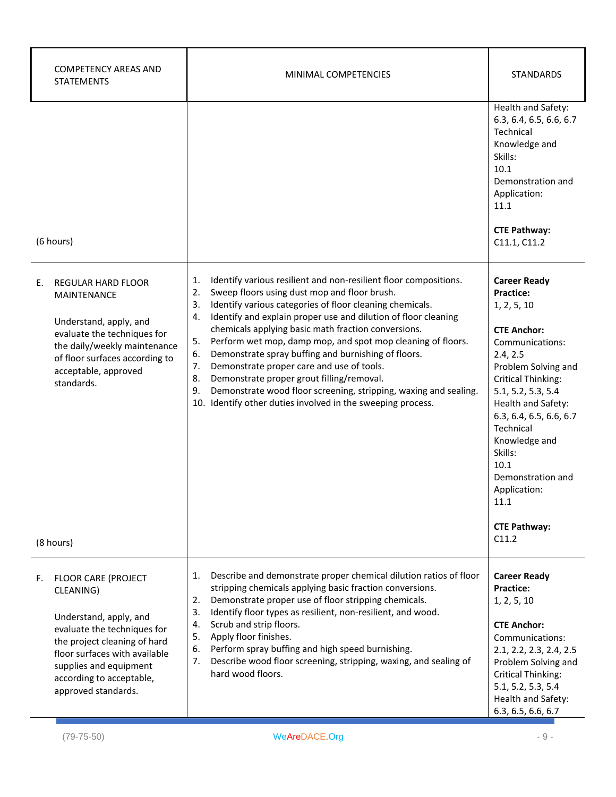| <b>COMPETENCY AREAS AND</b><br><b>STATEMENTS</b>                                                                                                                                                                                                     | <b>MINIMAL COMPETENCIES</b>                                                                                                                                                                                                                                                                                                                                                                                                                                                                                                                                                                                                                                                                                    | <b>STANDARDS</b>                                                                                                                                                                                                                                                                                                                                            |
|------------------------------------------------------------------------------------------------------------------------------------------------------------------------------------------------------------------------------------------------------|----------------------------------------------------------------------------------------------------------------------------------------------------------------------------------------------------------------------------------------------------------------------------------------------------------------------------------------------------------------------------------------------------------------------------------------------------------------------------------------------------------------------------------------------------------------------------------------------------------------------------------------------------------------------------------------------------------------|-------------------------------------------------------------------------------------------------------------------------------------------------------------------------------------------------------------------------------------------------------------------------------------------------------------------------------------------------------------|
| (6 hours)                                                                                                                                                                                                                                            |                                                                                                                                                                                                                                                                                                                                                                                                                                                                                                                                                                                                                                                                                                                | Health and Safety:<br>6.3, 6.4, 6.5, 6.6, 6.7<br>Technical<br>Knowledge and<br>Skills:<br>10.1<br>Demonstration and<br>Application:<br>11.1<br><b>CTE Pathway:</b><br>C11.1, C11.2                                                                                                                                                                          |
| <b>REGULAR HARD FLOOR</b><br>Е.<br><b>MAINTENANCE</b><br>Understand, apply, and<br>evaluate the techniques for<br>the daily/weekly maintenance<br>of floor surfaces according to<br>acceptable, approved<br>standards.                               | Identify various resilient and non-resilient floor compositions.<br>1.<br>Sweep floors using dust mop and floor brush.<br>2.<br>Identify various categories of floor cleaning chemicals.<br>3.<br>Identify and explain proper use and dilution of floor cleaning<br>4.<br>chemicals applying basic math fraction conversions.<br>Perform wet mop, damp mop, and spot mop cleaning of floors.<br>5.<br>6.<br>Demonstrate spray buffing and burnishing of floors.<br>Demonstrate proper care and use of tools.<br>7.<br>Demonstrate proper grout filling/removal.<br>8.<br>9.<br>Demonstrate wood floor screening, stripping, waxing and sealing.<br>10. Identify other duties involved in the sweeping process. | <b>Career Ready</b><br><b>Practice:</b><br>1, 2, 5, 10<br><b>CTE Anchor:</b><br>Communications:<br>2.4, 2.5<br>Problem Solving and<br><b>Critical Thinking:</b><br>5.1, 5.2, 5.3, 5.4<br>Health and Safety:<br>6.3, 6.4, 6.5, 6.6, 6.7<br>Technical<br>Knowledge and<br>Skills:<br>10.1<br>Demonstration and<br>Application:<br>11.1<br><b>CTE Pathway:</b> |
| (8 hours)                                                                                                                                                                                                                                            |                                                                                                                                                                                                                                                                                                                                                                                                                                                                                                                                                                                                                                                                                                                | C11.2                                                                                                                                                                                                                                                                                                                                                       |
| <b>FLOOR CARE (PROJECT</b><br>F.<br>CLEANING)<br>Understand, apply, and<br>evaluate the techniques for<br>the project cleaning of hard<br>floor surfaces with available<br>supplies and equipment<br>according to acceptable,<br>approved standards. | Describe and demonstrate proper chemical dilution ratios of floor<br>1.<br>stripping chemicals applying basic fraction conversions.<br>Demonstrate proper use of floor stripping chemicals.<br>2.<br>Identify floor types as resilient, non-resilient, and wood.<br>3.<br>Scrub and strip floors.<br>4.<br>Apply floor finishes.<br>5.<br>Perform spray buffing and high speed burnishing.<br>6.<br>Describe wood floor screening, stripping, waxing, and sealing of<br>7.<br>hard wood floors.                                                                                                                                                                                                                | <b>Career Ready</b><br><b>Practice:</b><br>1, 2, 5, 10<br><b>CTE Anchor:</b><br>Communications:<br>2.1, 2.2, 2.3, 2.4, 2.5<br>Problem Solving and<br><b>Critical Thinking:</b><br>5.1, 5.2, 5.3, 5.4<br>Health and Safety:<br>6.3, 6.5, 6.6, 6.7                                                                                                            |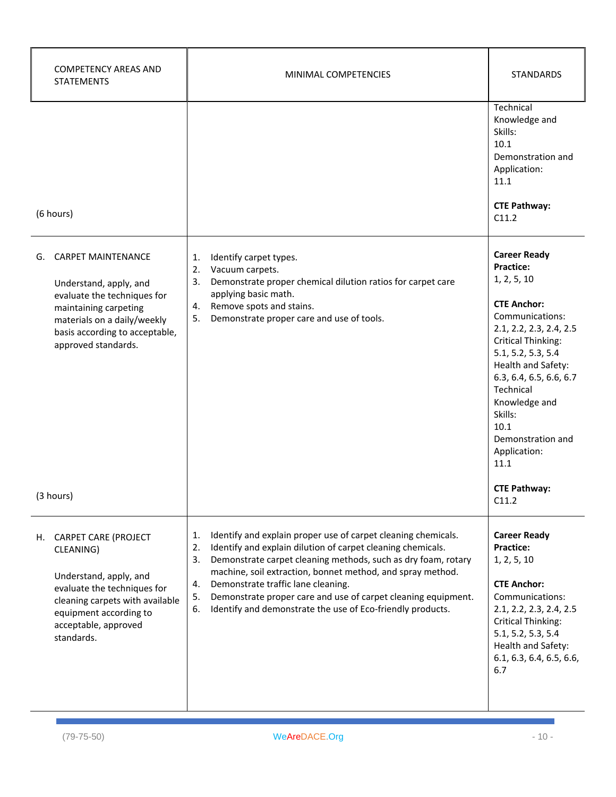| <b>COMPETENCY AREAS AND</b><br><b>STATEMENTS</b>                                                                                                                                                          | MINIMAL COMPETENCIES                                                                                                                                                                                                                                                                                                                                                                                                                                                 | <b>STANDARDS</b>                                                                                                                                                                                                                                                                                                             |
|-----------------------------------------------------------------------------------------------------------------------------------------------------------------------------------------------------------|----------------------------------------------------------------------------------------------------------------------------------------------------------------------------------------------------------------------------------------------------------------------------------------------------------------------------------------------------------------------------------------------------------------------------------------------------------------------|------------------------------------------------------------------------------------------------------------------------------------------------------------------------------------------------------------------------------------------------------------------------------------------------------------------------------|
| (6 hours)                                                                                                                                                                                                 |                                                                                                                                                                                                                                                                                                                                                                                                                                                                      | Technical<br>Knowledge and<br>Skills:<br>10.1<br>Demonstration and<br>Application:<br>11.1<br><b>CTE Pathway:</b><br>C11.2                                                                                                                                                                                                   |
| <b>CARPET MAINTENANCE</b><br>G.<br>Understand, apply, and<br>evaluate the techniques for<br>maintaining carpeting<br>materials on a daily/weekly<br>basis according to acceptable,<br>approved standards. | Identify carpet types.<br>1.<br>2.<br>Vacuum carpets.<br>3.<br>Demonstrate proper chemical dilution ratios for carpet care<br>applying basic math.<br>Remove spots and stains.<br>4.<br>5.<br>Demonstrate proper care and use of tools.                                                                                                                                                                                                                              | <b>Career Ready</b><br><b>Practice:</b><br>1, 2, 5, 10<br><b>CTE Anchor:</b><br>Communications:<br>2.1, 2.2, 2.3, 2.4, 2.5<br><b>Critical Thinking:</b><br>5.1, 5.2, 5.3, 5.4<br>Health and Safety:<br>6.3, 6.4, 6.5, 6.6, 6.7<br>Technical<br>Knowledge and<br>Skills:<br>10.1<br>Demonstration and<br>Application:<br>11.1 |
| (3 hours)                                                                                                                                                                                                 |                                                                                                                                                                                                                                                                                                                                                                                                                                                                      | <b>CTE Pathway:</b><br>C <sub>11.2</sub>                                                                                                                                                                                                                                                                                     |
| H. CARPET CARE (PROJECT<br>CLEANING)<br>Understand, apply, and<br>evaluate the techniques for<br>cleaning carpets with available<br>equipment according to<br>acceptable, approved<br>standards.          | Identify and explain proper use of carpet cleaning chemicals.<br>1.<br>Identify and explain dilution of carpet cleaning chemicals.<br>2.<br>Demonstrate carpet cleaning methods, such as dry foam, rotary<br>3.<br>machine, soil extraction, bonnet method, and spray method.<br>Demonstrate traffic lane cleaning.<br>4.<br>5.<br>Demonstrate proper care and use of carpet cleaning equipment.<br>6.<br>Identify and demonstrate the use of Eco-friendly products. | <b>Career Ready</b><br><b>Practice:</b><br>1, 2, 5, 10<br><b>CTE Anchor:</b><br>Communications:<br>2.1, 2.2, 2.3, 2.4, 2.5<br><b>Critical Thinking:</b><br>5.1, 5.2, 5.3, 5.4<br>Health and Safety:<br>6.1, 6.3, 6.4, 6.5, 6.6,<br>6.7                                                                                       |

**College** 

÷,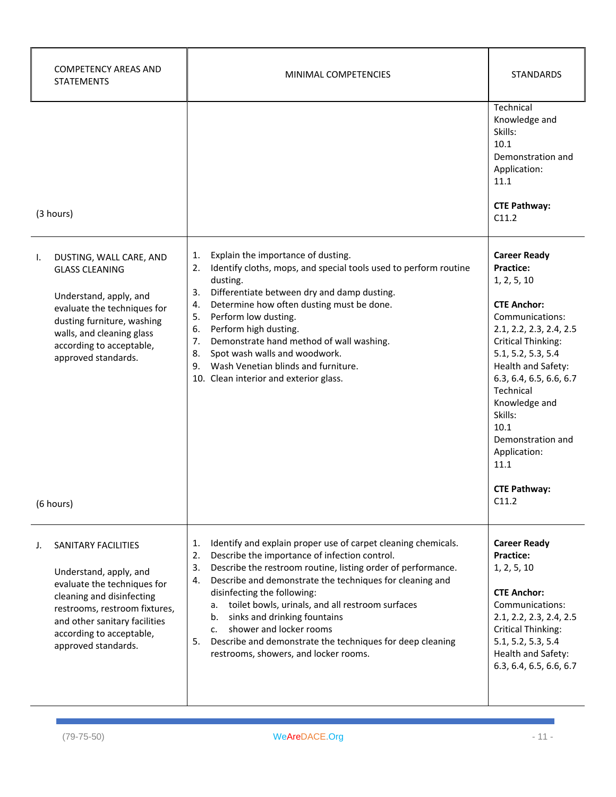| <b>COMPETENCY AREAS AND</b><br><b>STATEMENTS</b>                                                                                                                                                                               | MINIMAL COMPETENCIES                                                                                                                                                                                                                                                                                                                                                                                                                                                                                                                           | <b>STANDARDS</b>                                                                                                                                                                                                                                                                                                                                    |
|--------------------------------------------------------------------------------------------------------------------------------------------------------------------------------------------------------------------------------|------------------------------------------------------------------------------------------------------------------------------------------------------------------------------------------------------------------------------------------------------------------------------------------------------------------------------------------------------------------------------------------------------------------------------------------------------------------------------------------------------------------------------------------------|-----------------------------------------------------------------------------------------------------------------------------------------------------------------------------------------------------------------------------------------------------------------------------------------------------------------------------------------------------|
| (3 hours)                                                                                                                                                                                                                      |                                                                                                                                                                                                                                                                                                                                                                                                                                                                                                                                                | Technical<br>Knowledge and<br>Skills:<br>10.1<br>Demonstration and<br>Application:<br>11.1<br><b>CTE Pathway:</b><br>C11.2                                                                                                                                                                                                                          |
| DUSTING, WALL CARE, AND<br>I.<br><b>GLASS CLEANING</b><br>Understand, apply, and<br>evaluate the techniques for<br>dusting furniture, washing<br>walls, and cleaning glass<br>according to acceptable,<br>approved standards.  | Explain the importance of dusting.<br>1.<br>Identify cloths, mops, and special tools used to perform routine<br>2.<br>dusting.<br>Differentiate between dry and damp dusting.<br>3.<br>Determine how often dusting must be done.<br>4.<br>Perform low dusting.<br>5.<br>Perform high dusting.<br>6.<br>Demonstrate hand method of wall washing.<br>7.<br>Spot wash walls and woodwork.<br>8.<br>Wash Venetian blinds and furniture.<br>9.<br>10. Clean interior and exterior glass.                                                            | <b>Career Ready</b><br><b>Practice:</b><br>1, 2, 5, 10<br><b>CTE Anchor:</b><br>Communications:<br>2.1, 2.2, 2.3, 2.4, 2.5<br><b>Critical Thinking:</b><br>5.1, 5.2, 5.3, 5.4<br>Health and Safety:<br>6.3, 6.4, 6.5, 6.6, 6.7<br>Technical<br>Knowledge and<br>Skills:<br>10.1<br>Demonstration and<br>Application:<br>11.1<br><b>CTE Pathway:</b> |
| (6 hours)                                                                                                                                                                                                                      |                                                                                                                                                                                                                                                                                                                                                                                                                                                                                                                                                | C11.2                                                                                                                                                                                                                                                                                                                                               |
| SANITARY FACILITIES<br>Understand, apply, and<br>evaluate the techniques for<br>cleaning and disinfecting<br>restrooms, restroom fixtures,<br>and other sanitary facilities<br>according to acceptable,<br>approved standards. | Identify and explain proper use of carpet cleaning chemicals.<br>1.<br>Describe the importance of infection control.<br>2.<br>Describe the restroom routine, listing order of performance.<br>3.<br>Describe and demonstrate the techniques for cleaning and<br>4.<br>disinfecting the following:<br>toilet bowls, urinals, and all restroom surfaces<br>a.<br>sinks and drinking fountains<br>b.<br>shower and locker rooms<br>c.<br>Describe and demonstrate the techniques for deep cleaning<br>5.<br>restrooms, showers, and locker rooms. | <b>Career Ready</b><br><b>Practice:</b><br>1, 2, 5, 10<br><b>CTE Anchor:</b><br>Communications:<br>2.1, 2.2, 2.3, 2.4, 2.5<br><b>Critical Thinking:</b><br>5.1, 5.2, 5.3, 5.4<br>Health and Safety:<br>6.3, 6.4, 6.5, 6.6, 6.7                                                                                                                      |

**College**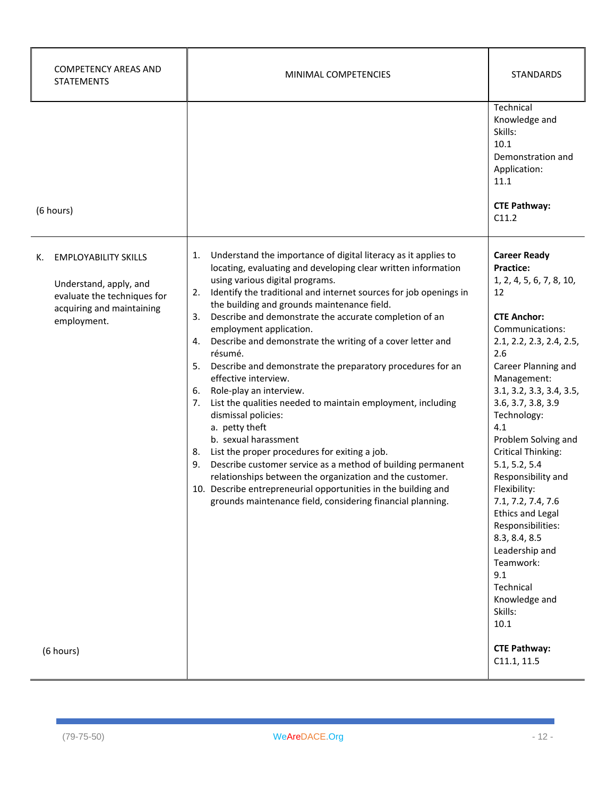| <b>COMPETENCY AREAS AND</b><br><b>STATEMENTS</b>                                                                                       | MINIMAL COMPETENCIES                                                                                                                                                                                                                                                                                                                                                                                                                                                                                                                                                                                                                                                                                                                                                                                                                                                                                                                                                                                                                                                    | <b>STANDARDS</b>                                                                                                                                                                                                                                                                                                                                                                                                                                                                                                                                             |
|----------------------------------------------------------------------------------------------------------------------------------------|-------------------------------------------------------------------------------------------------------------------------------------------------------------------------------------------------------------------------------------------------------------------------------------------------------------------------------------------------------------------------------------------------------------------------------------------------------------------------------------------------------------------------------------------------------------------------------------------------------------------------------------------------------------------------------------------------------------------------------------------------------------------------------------------------------------------------------------------------------------------------------------------------------------------------------------------------------------------------------------------------------------------------------------------------------------------------|--------------------------------------------------------------------------------------------------------------------------------------------------------------------------------------------------------------------------------------------------------------------------------------------------------------------------------------------------------------------------------------------------------------------------------------------------------------------------------------------------------------------------------------------------------------|
| (6 hours)                                                                                                                              |                                                                                                                                                                                                                                                                                                                                                                                                                                                                                                                                                                                                                                                                                                                                                                                                                                                                                                                                                                                                                                                                         | Technical<br>Knowledge and<br>Skills:<br>10.1<br>Demonstration and<br>Application:<br>11.1<br><b>CTE Pathway:</b><br>C11.2                                                                                                                                                                                                                                                                                                                                                                                                                                   |
| <b>EMPLOYABILITY SKILLS</b><br>К.<br>Understand, apply, and<br>evaluate the techniques for<br>acquiring and maintaining<br>employment. | Understand the importance of digital literacy as it applies to<br>1.<br>locating, evaluating and developing clear written information<br>using various digital programs.<br>Identify the traditional and internet sources for job openings in<br>2.<br>the building and grounds maintenance field.<br>Describe and demonstrate the accurate completion of an<br>3.<br>employment application.<br>Describe and demonstrate the writing of a cover letter and<br>4.<br>résumé.<br>Describe and demonstrate the preparatory procedures for an<br>5.<br>effective interview.<br>Role-play an interview.<br>6.<br>List the qualities needed to maintain employment, including<br>7.<br>dismissal policies:<br>a. petty theft<br>b. sexual harassment<br>List the proper procedures for exiting a job.<br>8.<br>Describe customer service as a method of building permanent<br>9.<br>relationships between the organization and the customer.<br>10. Describe entrepreneurial opportunities in the building and<br>grounds maintenance field, considering financial planning. | <b>Career Ready</b><br><b>Practice:</b><br>1, 2, 4, 5, 6, 7, 8, 10,<br>12<br><b>CTE Anchor:</b><br>Communications:<br>2.1, 2.2, 2.3, 2.4, 2.5,<br>2.6<br>Career Planning and<br>Management:<br>3.1, 3.2, 3.3, 3.4, 3.5,<br>3.6, 3.7, 3.8, 3.9<br>Technology:<br>4.1<br>Problem Solving and<br><b>Critical Thinking:</b><br>5.1, 5.2, 5.4<br>Responsibility and<br>Flexibility:<br>7.1, 7.2, 7.4, 7.6<br><b>Ethics and Legal</b><br>Responsibilities:<br>8.3, 8.4, 8.5<br>Leadership and<br>Teamwork:<br>9.1<br>Technical<br>Knowledge and<br>Skills:<br>10.1 |
| (6 hours)                                                                                                                              |                                                                                                                                                                                                                                                                                                                                                                                                                                                                                                                                                                                                                                                                                                                                                                                                                                                                                                                                                                                                                                                                         | <b>CTE Pathway:</b><br>C11.1, 11.5                                                                                                                                                                                                                                                                                                                                                                                                                                                                                                                           |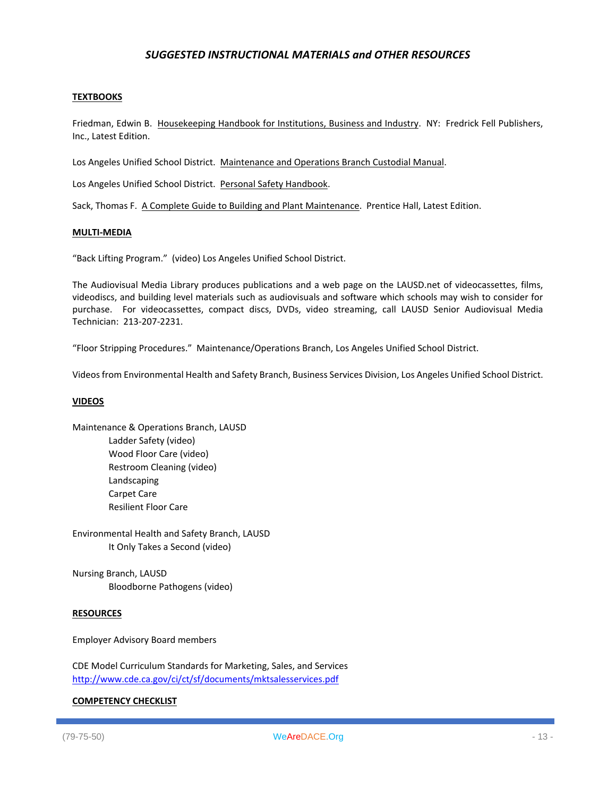# *SUGGESTED INSTRUCTIONAL MATERIALS and OTHER RESOURCES*

# **TEXTBOOKS**

Friedman, Edwin B. Housekeeping Handbook for Institutions, Business and Industry. NY: Fredrick Fell Publishers, Inc., Latest Edition.

Los Angeles Unified School District. Maintenance and Operations Branch Custodial Manual.

Los Angeles Unified School District. Personal Safety Handbook.

Sack, Thomas F. A Complete Guide to Building and Plant Maintenance. Prentice Hall, Latest Edition.

### **MULTI-MEDIA**

"Back Lifting Program." (video) Los Angeles Unified School District.

The Audiovisual Media Library produces publications and a web page on the LAUSD.net of videocassettes, films, videodiscs, and building level materials such as audiovisuals and software which schools may wish to consider for purchase. For videocassettes, compact discs, DVDs, video streaming, call LAUSD Senior Audiovisual Media Technician: 213-207-2231.

"Floor Stripping Procedures." Maintenance/Operations Branch, Los Angeles Unified School District.

Videos from Environmental Health and Safety Branch, Business Services Division, Los Angeles Unified School District.

# **VIDEOS**

Maintenance & Operations Branch, LAUSD Ladder Safety (video) Wood Floor Care (video) Restroom Cleaning (video) Landscaping Carpet Care Resilient Floor Care

Environmental Health and Safety Branch, LAUSD It Only Takes a Second (video)

Nursing Branch, LAUSD Bloodborne Pathogens (video)

# **RESOURCES**

Employer Advisory Board members

CDE Model Curriculum Standards for Marketing, Sales, and Services <http://www.cde.ca.gov/ci/ct/sf/documents/mktsalesservices.pdf>

# **COMPETENCY CHECKLIST**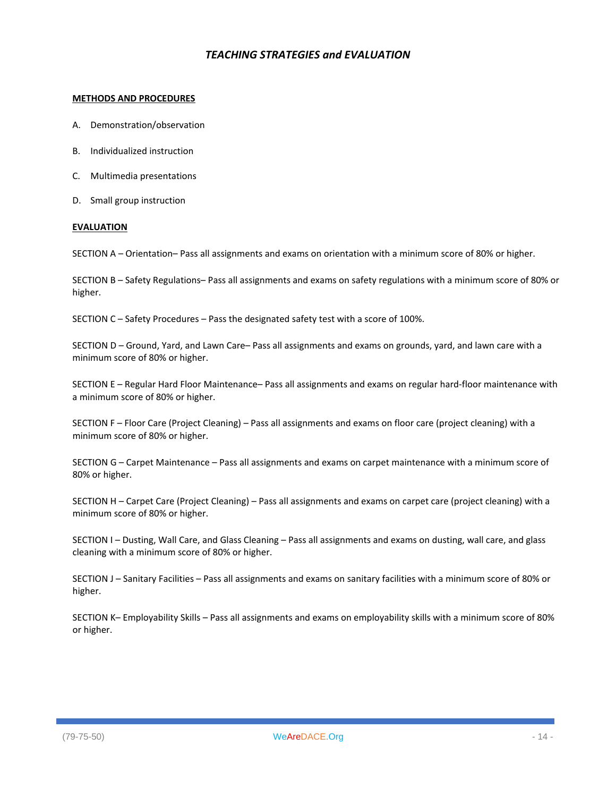# *TEACHING STRATEGIES and EVALUATION*

### **METHODS AND PROCEDURES**

- A. Demonstration/observation
- B. Individualized instruction
- C. Multimedia presentations
- D. Small group instruction

## **EVALUATION**

SECTION A – Orientation– Pass all assignments and exams on orientation with a minimum score of 80% or higher.

SECTION B – Safety Regulations– Pass all assignments and exams on safety regulations with a minimum score of 80% or higher.

SECTION C – Safety Procedures – Pass the designated safety test with a score of 100%.

SECTION D – Ground, Yard, and Lawn Care– Pass all assignments and exams on grounds, yard, and lawn care with a minimum score of 80% or higher.

SECTION E – Regular Hard Floor Maintenance– Pass all assignments and exams on regular hard-floor maintenance with a minimum score of 80% or higher.

SECTION F – Floor Care (Project Cleaning) – Pass all assignments and exams on floor care (project cleaning) with a minimum score of 80% or higher.

SECTION G – Carpet Maintenance – Pass all assignments and exams on carpet maintenance with a minimum score of 80% or higher.

SECTION H – Carpet Care (Project Cleaning) – Pass all assignments and exams on carpet care (project cleaning) with a minimum score of 80% or higher.

SECTION I – Dusting, Wall Care, and Glass Cleaning – Pass all assignments and exams on dusting, wall care, and glass cleaning with a minimum score of 80% or higher.

SECTION J – Sanitary Facilities – Pass all assignments and exams on sanitary facilities with a minimum score of 80% or higher.

SECTION K– Employability Skills – Pass all assignments and exams on employability skills with a minimum score of 80% or higher.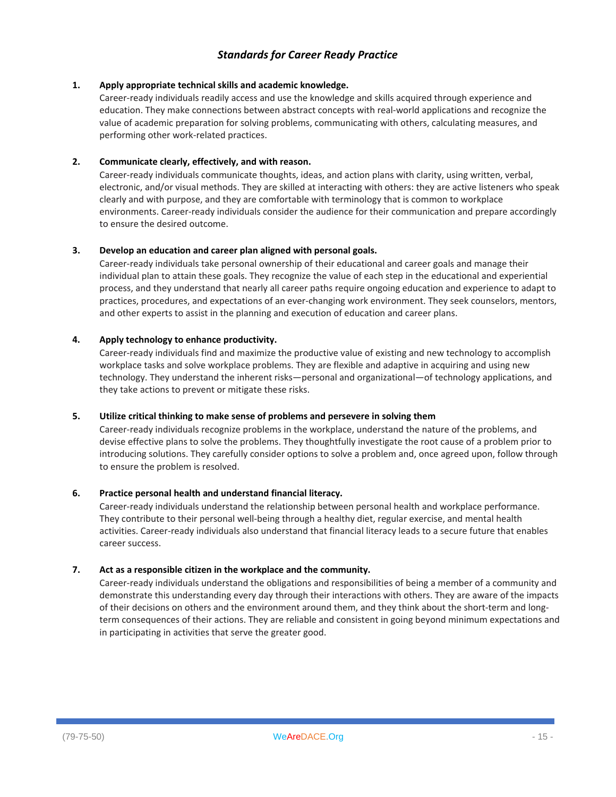# *Standards for Career Ready Practice*

# **1. Apply appropriate technical skills and academic knowledge.**

Career-ready individuals readily access and use the knowledge and skills acquired through experience and education. They make connections between abstract concepts with real-world applications and recognize the value of academic preparation for solving problems, communicating with others, calculating measures, and performing other work-related practices.

# **2. Communicate clearly, effectively, and with reason.**

Career-ready individuals communicate thoughts, ideas, and action plans with clarity, using written, verbal, electronic, and/or visual methods. They are skilled at interacting with others: they are active listeners who speak clearly and with purpose, and they are comfortable with terminology that is common to workplace environments. Career-ready individuals consider the audience for their communication and prepare accordingly to ensure the desired outcome.

## **3. Develop an education and career plan aligned with personal goals.**

Career-ready individuals take personal ownership of their educational and career goals and manage their individual plan to attain these goals. They recognize the value of each step in the educational and experiential process, and they understand that nearly all career paths require ongoing education and experience to adapt to practices, procedures, and expectations of an ever-changing work environment. They seek counselors, mentors, and other experts to assist in the planning and execution of education and career plans.

# **4. Apply technology to enhance productivity.**

Career-ready individuals find and maximize the productive value of existing and new technology to accomplish workplace tasks and solve workplace problems. They are flexible and adaptive in acquiring and using new technology. They understand the inherent risks—personal and organizational—of technology applications, and they take actions to prevent or mitigate these risks.

### **5. Utilize critical thinking to make sense of problems and persevere in solving them**

Career-ready individuals recognize problems in the workplace, understand the nature of the problems, and devise effective plans to solve the problems. They thoughtfully investigate the root cause of a problem prior to introducing solutions. They carefully consider options to solve a problem and, once agreed upon, follow through to ensure the problem is resolved.

# **6. Practice personal health and understand financial literacy.**

Career-ready individuals understand the relationship between personal health and workplace performance. They contribute to their personal well-being through a healthy diet, regular exercise, and mental health activities. Career-ready individuals also understand that financial literacy leads to a secure future that enables career success.

# **7. Act as a responsible citizen in the workplace and the community.**

Career-ready individuals understand the obligations and responsibilities of being a member of a community and demonstrate this understanding every day through their interactions with others. They are aware of the impacts of their decisions on others and the environment around them, and they think about the short-term and longterm consequences of their actions. They are reliable and consistent in going beyond minimum expectations and in participating in activities that serve the greater good.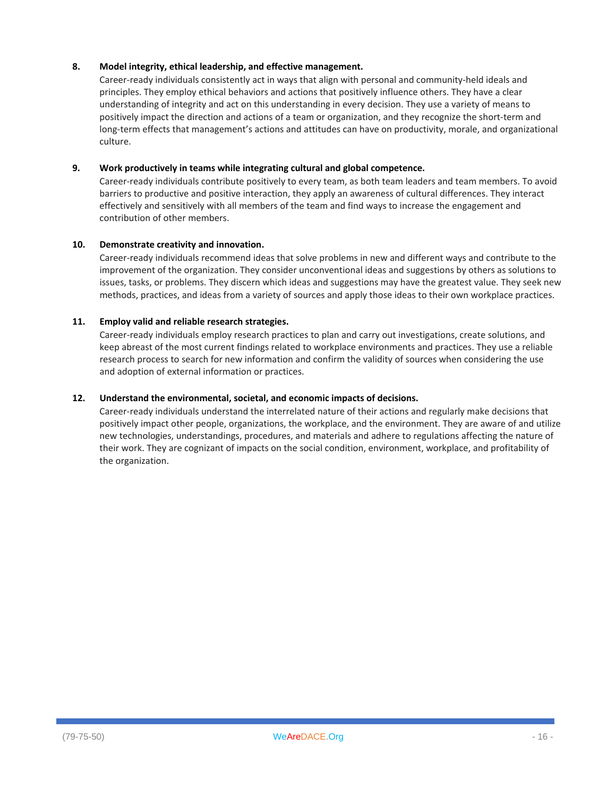# **8. Model integrity, ethical leadership, and effective management.**

Career-ready individuals consistently act in ways that align with personal and community-held ideals and principles. They employ ethical behaviors and actions that positively influence others. They have a clear understanding of integrity and act on this understanding in every decision. They use a variety of means to positively impact the direction and actions of a team or organization, and they recognize the short-term and long-term effects that management's actions and attitudes can have on productivity, morale, and organizational culture.

# **9. Work productively in teams while integrating cultural and global competence.**

Career-ready individuals contribute positively to every team, as both team leaders and team members. To avoid barriers to productive and positive interaction, they apply an awareness of cultural differences. They interact effectively and sensitively with all members of the team and find ways to increase the engagement and contribution of other members.

# **10. Demonstrate creativity and innovation.**

Career-ready individuals recommend ideas that solve problems in new and different ways and contribute to the improvement of the organization. They consider unconventional ideas and suggestions by others as solutions to issues, tasks, or problems. They discern which ideas and suggestions may have the greatest value. They seek new methods, practices, and ideas from a variety of sources and apply those ideas to their own workplace practices.

# **11. Employ valid and reliable research strategies.**

Career-ready individuals employ research practices to plan and carry out investigations, create solutions, and keep abreast of the most current findings related to workplace environments and practices. They use a reliable research process to search for new information and confirm the validity of sources when considering the use and adoption of external information or practices.

# **12. Understand the environmental, societal, and economic impacts of decisions.**

Career-ready individuals understand the interrelated nature of their actions and regularly make decisions that positively impact other people, organizations, the workplace, and the environment. They are aware of and utilize new technologies, understandings, procedures, and materials and adhere to regulations affecting the nature of their work. They are cognizant of impacts on the social condition, environment, workplace, and profitability of the organization.